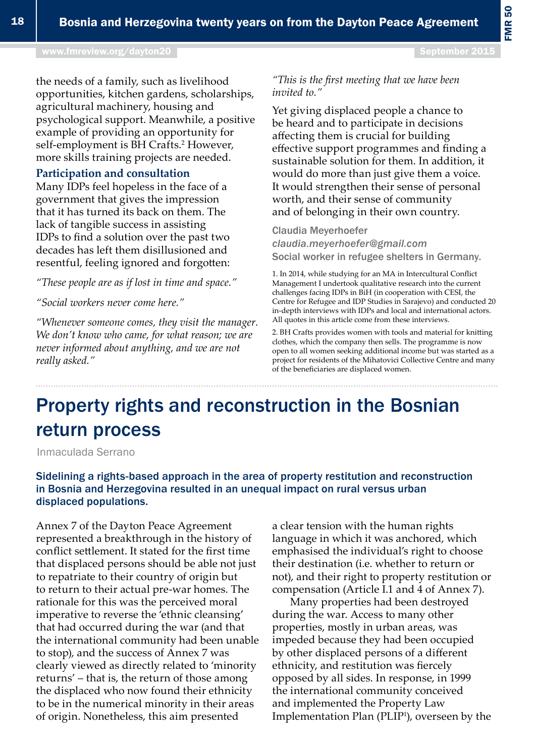# Property rights and reconstruction in the Bosnian return process

Inmaculada Serrano

### Sidelining a rights-based approach in the area of property restitution and reconstruction in Bosnia and Herzegovina resulted in an unequal impact on rural versus urban displaced populations.

Annex 7 of the Dayton Peace Agreement represented a breakthrough in the history of conflict settlement. It stated for the first time that displaced persons should be able not just to repatriate to their country of origin but to return to their actual pre-war homes. The rationale for this was the perceived moral imperative to reverse the 'ethnic cleansing' that had occurred during the war (and that the international community had been unable to stop), and the success of Annex 7 was clearly viewed as directly related to 'minority returns' – that is, the return of those among the displaced who now found their ethnicity to be in the numerical minority in their areas of origin. Nonetheless, this aim presented

a clear tension with the human rights language in which it was anchored, which emphasised the individual's right to choose their destination (i.e. whether to return or not), and their right to property restitution or compensation (Article I.1 and 4 of Annex 7).

Many properties had been destroyed during the war. Access to many other properties, mostly in urban areas, was impeded because they had been occupied by other displaced persons of a different ethnicity, and restitution was fiercely opposed by all sides. In response, in 1999 the international community conceived and implemented the Property Law Implementation Plan (PLIP1 ), overseen by the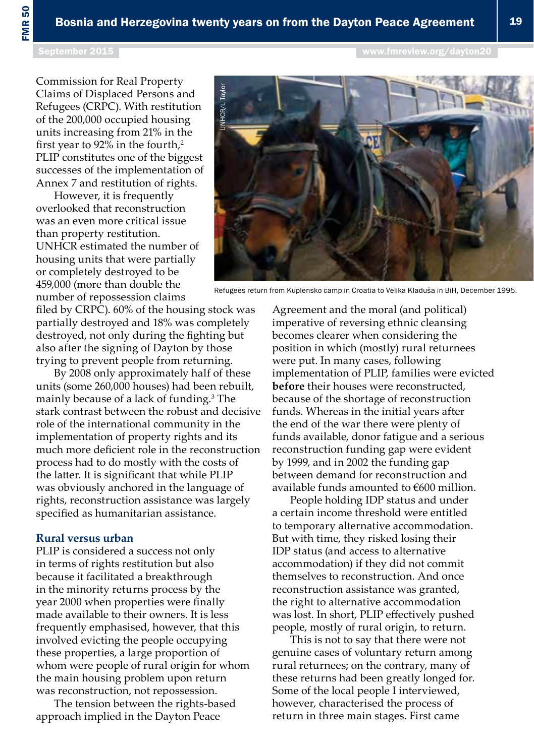FMR 50

Commission for Real Property Claims of Displaced Persons and Refugees (CRPC). With restitution of the 200,000 occupied housing units increasing from 21% in the first year to 92% in the fourth, $2$ PLIP constitutes one of the biggest successes of the implementation of Annex 7 and restitution of rights.

However, it is frequently overlooked that reconstruction was an even more critical issue than property restitution. UNHCR estimated the number of housing units that were partially or completely destroyed to be 459,000 (more than double the number of repossession claims

filed by CRPC). 60% of the housing stock was partially destroyed and 18% was completely destroyed, not only during the fighting but also after the signing of Dayton by those trying to prevent people from returning.

By 2008 only approximately half of these units (some 260,000 houses) had been rebuilt, mainly because of a lack of funding.3 The stark contrast between the robust and decisive role of the international community in the implementation of property rights and its much more deficient role in the reconstruction process had to do mostly with the costs of the latter. It is significant that while PLIP was obviously anchored in the language of rights, reconstruction assistance was largely specified as humanitarian assistance.

#### **Rural versus urban**

PLIP is considered a success not only in terms of rights restitution but also because it facilitated a breakthrough in the minority returns process by the year 2000 when properties were finally made available to their owners. It is less frequently emphasised, however, that this involved evicting the people occupying these properties, a large proportion of whom were people of rural origin for whom the main housing problem upon return was reconstruction, not repossession.

The tension between the rights-based approach implied in the Dayton Peace

Agreement and the moral (and political)

imperative of reversing ethnic cleansing becomes clearer when considering the position in which (mostly) rural returnees were put. In many cases, following implementation of PLIP, families were evicted **before** their houses were reconstructed, because of the shortage of reconstruction funds. Whereas in the initial years after the end of the war there were plenty of funds available, donor fatigue and a serious reconstruction funding gap were evident by 1999, and in 2002 the funding gap between demand for reconstruction and available funds amounted to €600 million.

People holding IDP status and under a certain income threshold were entitled to temporary alternative accommodation. But with time, they risked losing their IDP status (and access to alternative accommodation) if they did not commit themselves to reconstruction. And once reconstruction assistance was granted, the right to alternative accommodation was lost. In short, PLIP effectively pushed people, mostly of rural origin, to return.

This is not to say that there were not genuine cases of voluntary return among rural returnees; on the contrary, many of these returns had been greatly longed for. Some of the local people I interviewed, however, characterised the process of return in three main stages. First came